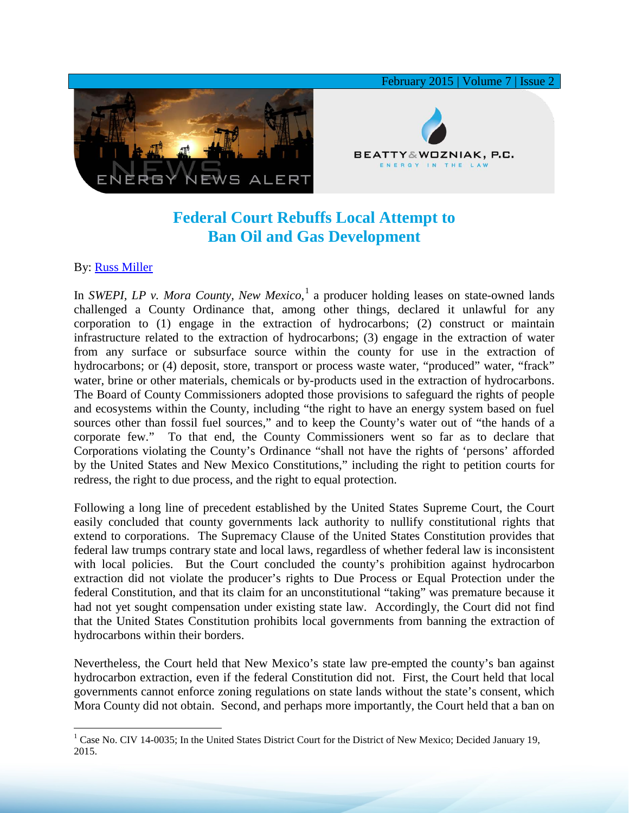

## **Federal Court Rebuffs Local Attempt to Ban Oil and Gas Development**

## By: [Russ Miller](http://www.bwenergylaw.com/#!russ-miller/cbep)

In *SWEPI, LP v. Mora County, New Mexico*, [1](#page-0-0) a producer holding leases on state-owned lands challenged a County Ordinance that, among other things, declared it unlawful for any corporation to (1) engage in the extraction of hydrocarbons; (2) construct or maintain infrastructure related to the extraction of hydrocarbons; (3) engage in the extraction of water from any surface or subsurface source within the county for use in the extraction of hydrocarbons; or (4) deposit, store, transport or process waste water, "produced" water, "frack" water, brine or other materials, chemicals or by-products used in the extraction of hydrocarbons. The Board of County Commissioners adopted those provisions to safeguard the rights of people and ecosystems within the County, including "the right to have an energy system based on fuel sources other than fossil fuel sources," and to keep the County's water out of "the hands of a corporate few." To that end, the County Commissioners went so far as to declare that Corporations violating the County's Ordinance "shall not have the rights of 'persons' afforded by the United States and New Mexico Constitutions," including the right to petition courts for redress, the right to due process, and the right to equal protection.

Following a long line of precedent established by the United States Supreme Court, the Court easily concluded that county governments lack authority to nullify constitutional rights that extend to corporations. The Supremacy Clause of the United States Constitution provides that federal law trumps contrary state and local laws, regardless of whether federal law is inconsistent with local policies. But the Court concluded the county's prohibition against hydrocarbon extraction did not violate the producer's rights to Due Process or Equal Protection under the federal Constitution, and that its claim for an unconstitutional "taking" was premature because it had not yet sought compensation under existing state law. Accordingly, the Court did not find that the United States Constitution prohibits local governments from banning the extraction of hydrocarbons within their borders.

Nevertheless, the Court held that New Mexico's state law pre-empted the county's ban against hydrocarbon extraction, even if the federal Constitution did not. First, the Court held that local governments cannot enforce zoning regulations on state lands without the state's consent, which Mora County did not obtain. Second, and perhaps more importantly, the Court held that a ban on

<span id="page-0-0"></span> $1$  Case No. CIV 14-0035; In the United States District Court for the District of New Mexico; Decided January 19, 2015.  $\overline{a}$